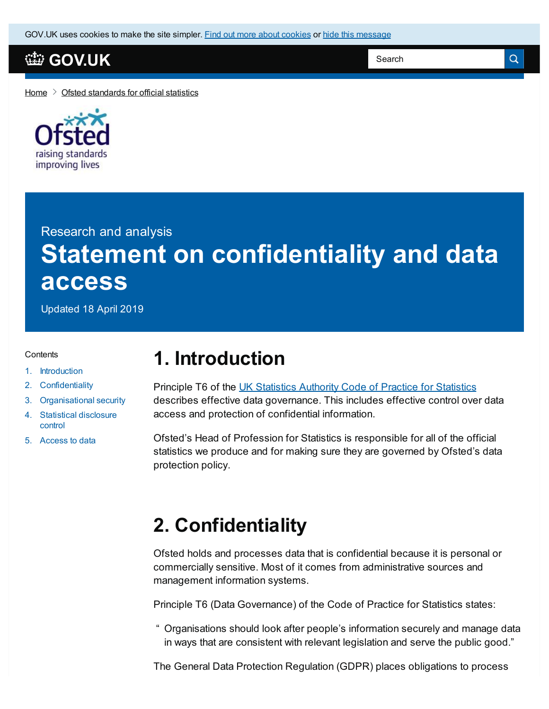GOV.UK uses [cookies](https://www.gov.uk/help/cookies) to make the site simpler. Find out more about cookies or hide this message

## **[GOV.UK](https://www.gov.uk)**

Search

 $\alpha$ 

[Home](https://www.gov.uk/)  $\geq$  Ofsted [standards](https://www.gov.uk/government/publications/ofsted-standards-for-official-statistics) for official statistics



Research and analysis **Statement on confidentiality and data access**

Updated 18 April 2019

#### **Contents**

- 1. [Introduction](#page-0-0)
- 2. [Confidentiality](#page-0-1)
- 3. [Organisational](#page-1-0) security
- 4. Statistical [disclosure](#page-2-0) control
- 5. [Access](#page-2-1) to data

## <span id="page-0-0"></span>**1. Introduction**

Principle T6 of the UK [Statistics](https://www.statisticsauthority.gov.uk/code-of-practice/) Authority Code of Practice for Statistics describes effective data governance. This includes effective control over data access and protection of confidential information.

Ofsted's Head of Profession for Statistics is responsible for all of the official statistics we produce and for making sure they are governed by Ofsted's data protection policy.

# <span id="page-0-1"></span>**2. Confidentiality**

Ofsted holds and processes data that is confidential because it is personal or commercially sensitive. Most of it comes from administrative sources and management information systems.

Principle T6 (Data Governance) of the Code of Practice for Statistics states:

" Organisations should look after people's information securely and manage data in ways that are consistent with relevant legislation and serve the public good."

The General Data Protection Regulation (GDPR) places obligations to process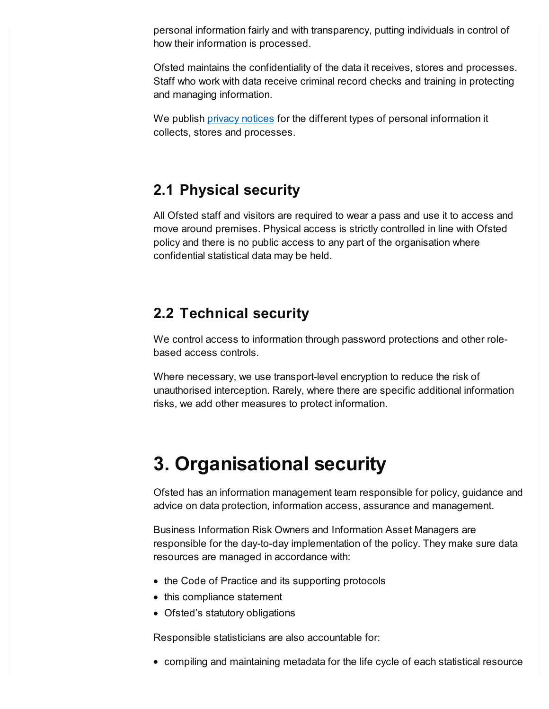personal information fairly and with transparency, putting individuals in control of how their information is processed.

Ofsted maintains the confidentiality of the data it receives, stores and processes. Staff who work with data receive criminal record checks and training in protecting and managing information.

We publish privacy [notices](https://www.gov.uk/government/publications/ofsted-privacy-notices) for the different types of personal information it collects, stores and processes.

## **2.1 Physical security**

All Ofsted staff and visitors are required to wear a pass and use it to access and move around premises. Physical access is strictly controlled in line with Ofsted policy and there is no public access to any part of the organisation where confidential statistical data may be held.

## **2.2 Technical security**

We control access to information through password protections and other rolebased access controls.

Where necessary, we use transport-level encryption to reduce the risk of unauthorised interception. Rarely, where there are specific additional information risks, we add other measures to protect information.

# <span id="page-1-0"></span>**3. Organisational security**

Ofsted has an information management team responsible for policy, guidance and advice on data protection, information access, assurance and management.

Business Information Risk Owners and Information Asset Managers are responsible for the day-to-day implementation of the policy. They make sure data resources are managed in accordance with:

- the Code of Practice and its supporting protocols
- this compliance statement
- Ofsted's statutory obligations

Responsible statisticians are also accountable for:

compiling and maintaining metadata for the life cycle of each statistical resource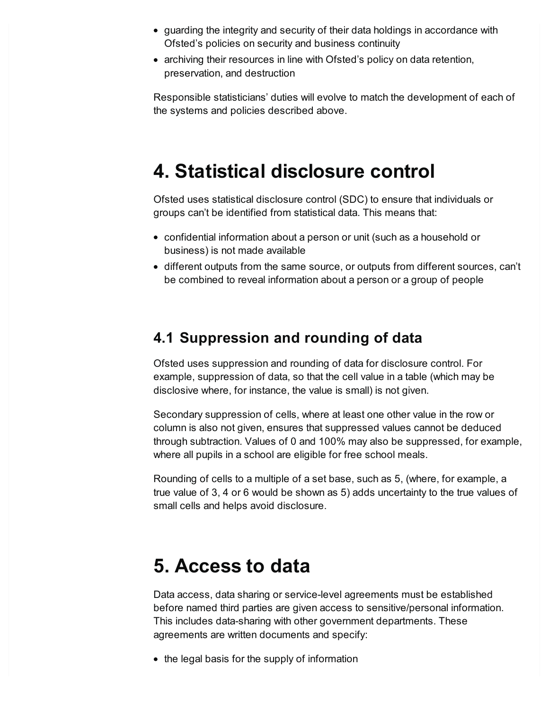- guarding the integrity and security of their data holdings in accordance with Ofsted's policies on security and business continuity
- archiving their resources in line with Ofsted's policy on data retention, preservation, and destruction

Responsible statisticians' duties will evolve to match the development of each of the systems and policies described above.

# <span id="page-2-0"></span>**4. Statistical disclosure control**

Ofsted uses statistical disclosure control (SDC) to ensure that individuals or groups can't be identified from statistical data. This means that:

- confidential information about a person or unit (such as a household or business) is not made available
- different outputs from the same source, or outputs from different sources, can't be combined to reveal information about a person or a group of people

## **4.1 Suppression and rounding of data**

Ofsted uses suppression and rounding of data for disclosure control. For example, suppression of data, so that the cell value in a table (which may be disclosive where, for instance, the value is small) is not given.

Secondary suppression of cells, where at least one other value in the row or column is also not given, ensures that suppressed values cannot be deduced through subtraction. Values of 0 and 100% may also be suppressed, for example, where all pupils in a school are eligible for free school meals.

Rounding of cells to a multiple of a set base, such as 5, (where, for example, a true value of 3, 4 or 6 would be shown as 5) adds uncertainty to the true values of small cells and helps avoid disclosure.

# <span id="page-2-1"></span>**5. Access to data**

Data access, data sharing or service-level agreements must be established before named third parties are given access to sensitive/personal information. This includes data-sharing with other government departments. These agreements are written documents and specify:

• the legal basis for the supply of information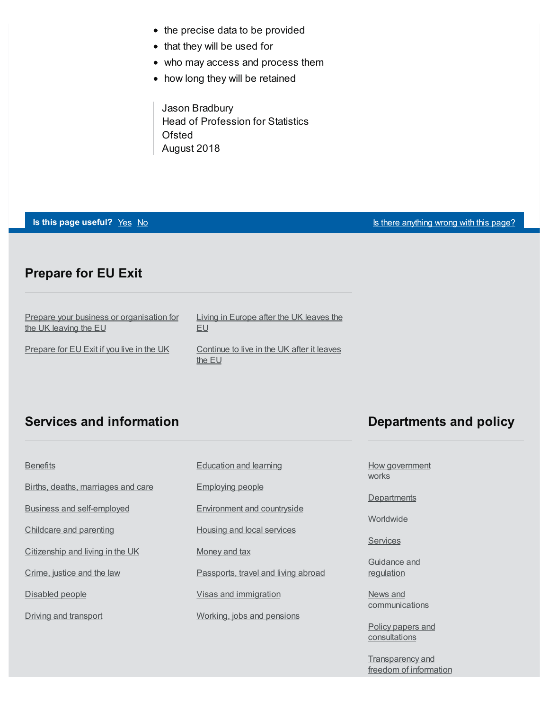- the precise data to be provided
- that they will be used for
- who may access and process them
- how long they will be retained

Jason Bradbury Head of Profession for Statistics **Ofsted** August 2018

#### **Is this page useful?** [Yes](https://www.gov.uk/contact/govuk) [No](https://www.gov.uk/contact/govuk) Is there [anything](https://www.gov.uk/contact/govuk) wrong with this page?

#### **Prepare for EU Exit**

| <b>Prepare your business or organisation for</b> | Living in Europe after the UK leaves the             |
|--------------------------------------------------|------------------------------------------------------|
| the UK leaving the EU                            | EU                                                   |
| Prepare for EU Exit if you live in the UK        | Continue to live in the UK after it leaves<br>the EU |

### **Services and information**

# **[Benefits](https://www.gov.uk/browse/benefits)** Births, deaths, [marriages](https://www.gov.uk/browse/births-deaths-marriages) and care Business and [self-employed](https://www.gov.uk/browse/business) [Childcare](https://www.gov.uk/browse/childcare-parenting) and parenting [Citizenship](https://www.gov.uk/browse/citizenship) and living in the UK [Crime,](https://www.gov.uk/browse/justice) justice and the law [Disabled](https://www.gov.uk/browse/disabilities) people Driving and [transport](https://www.gov.uk/browse/driving)

[Education](https://www.gov.uk/browse/education) and learning

[Employing](https://www.gov.uk/browse/employing-people) people

[Environment](https://www.gov.uk/browse/environment-countryside) and countryside

Housing and local [services](https://www.gov.uk/browse/housing-local-services)

[Money](https://www.gov.uk/browse/tax) and tax

[Passports,](https://www.gov.uk/browse/abroad) travel and living abroad

Visas and [immigration](https://www.gov.uk/browse/visas-immigration)

[Working,](https://www.gov.uk/browse/working) jobs and pensions

### **Departments and policy**

How [government](https://www.gov.uk/government/how-government-works) works

**[Departments](https://www.gov.uk/government/organisations)** 

**[Worldwide](https://www.gov.uk/world)** 

**[Services](https://www.gov.uk/search/services)** 

[Guidance](https://www.gov.uk/search/guidance-and-regulation) and regulation

News and [communications](https://www.gov.uk/search/news-and-communications)

Policy papers and [consultations](https://www.gov.uk/search/policy-papers-and-consultations)

[Transparency](https://www.gov.uk/search/transparency-and-freedom-of-information-releases) and freedom of information